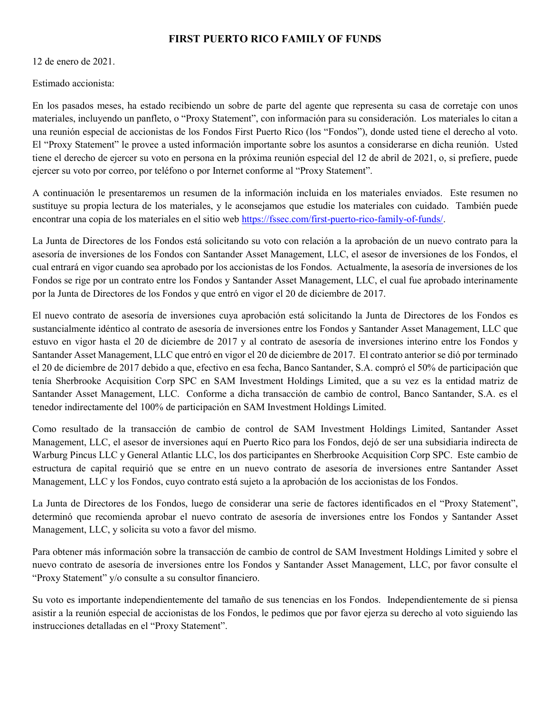## FIRST PUERTO RICO FAMILY OF FUNDS

12 de enero de 2021.

Estimado accionista:

En los pasados meses, ha estado recibiendo un sobre de parte del agente que representa su casa de corretaje con unos materiales, incluyendo un panfleto, o "Proxy Statement", con información para su consideración. Los materiales lo citan a una reunión especial de accionistas de los Fondos First Puerto Rico (los "Fondos"), donde usted tiene el derecho al voto. El "Proxy Statement" le provee a usted información importante sobre los asuntos a considerarse en dicha reunión. Usted tiene el derecho de ejercer su voto en persona en la próxima reunión especial del 12 de abril de 2021, o, si prefiere, puede ejercer su voto por correo, por teléfono o por Internet conforme al "Proxy Statement".

A continuación le presentaremos un resumen de la información incluida en los materiales enviados. Este resumen no sustituye su propia lectura de los materiales, y le aconsejamos que estudie los materiales con cuidado. También puede encontrar una copia de los materiales en el sitio web https://fssec.com/first-puerto-rico-family-of-funds/.

La Junta de Directores de los Fondos está solicitando su voto con relación a la aprobación de un nuevo contrato para la asesoría de inversiones de los Fondos con Santander Asset Management, LLC, el asesor de inversiones de los Fondos, el cual entrará en vigor cuando sea aprobado por los accionistas de los Fondos. Actualmente, la asesoría de inversiones de los Fondos se rige por un contrato entre los Fondos y Santander Asset Management, LLC, el cual fue aprobado interinamente por la Junta de Directores de los Fondos y que entró en vigor el 20 de diciembre de 2017.

El nuevo contrato de asesoría de inversiones cuya aprobación está solicitando la Junta de Directores de los Fondos es sustancialmente idéntico al contrato de asesoría de inversiones entre los Fondos y Santander Asset Management, LLC que estuvo en vigor hasta el 20 de diciembre de 2017 y al contrato de asesoría de inversiones interino entre los Fondos y Santander Asset Management, LLC que entró en vigor el 20 de diciembre de 2017. El contrato anterior se dió por terminado el 20 de diciembre de 2017 debido a que, efectivo en esa fecha, Banco Santander, S.A. compró el 50% de participación que tenía Sherbrooke Acquisition Corp SPC en SAM Investment Holdings Limited, que a su vez es la entidad matriz de Santander Asset Management, LLC. Conforme a dicha transacción de cambio de control, Banco Santander, S.A. es el tenedor indirectamente del 100% de participación en SAM Investment Holdings Limited.

Como resultado de la transacción de cambio de control de SAM Investment Holdings Limited, Santander Asset Management, LLC, el asesor de inversiones aquí en Puerto Rico para los Fondos, dejó de ser una subsidiaria indirecta de Warburg Pincus LLC y General Atlantic LLC, los dos participantes en Sherbrooke Acquisition Corp SPC. Este cambio de estructura de capital requirió que se entre en un nuevo contrato de asesoría de inversiones entre Santander Asset Management, LLC y los Fondos, cuyo contrato está sujeto a la aprobación de los accionistas de los Fondos.

La Junta de Directores de los Fondos, luego de considerar una serie de factores identificados en el "Proxy Statement", determinó que recomienda aprobar el nuevo contrato de asesoría de inversiones entre los Fondos y Santander Asset Management, LLC, y solicita su voto a favor del mismo.

Para obtener más información sobre la transacción de cambio de control de SAM Investment Holdings Limited y sobre el nuevo contrato de asesoría de inversiones entre los Fondos y Santander Asset Management, LLC, por favor consulte el "Proxy Statement" y/o consulte a su consultor financiero.

Su voto es importante independientemente del tamaño de sus tenencias en los Fondos. Independientemente de si piensa asistir a la reunión especial de accionistas de los Fondos, le pedimos que por favor ejerza su derecho al voto siguiendo las instrucciones detalladas en el "Proxy Statement".